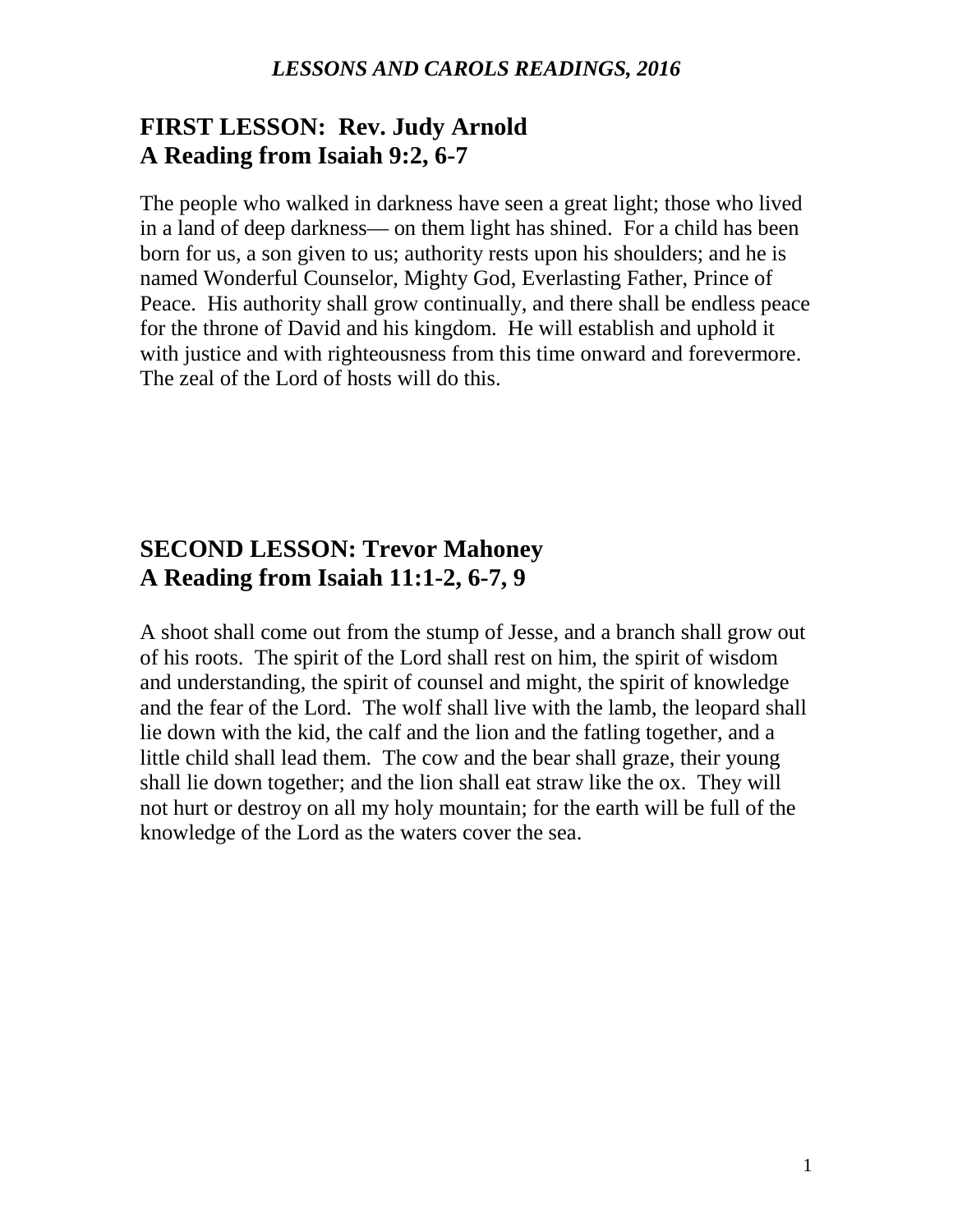### **FIRST LESSON: Rev. Judy Arnold A Reading from Isaiah 9:2, 6-7**

The people who walked in darkness have seen a great light; those who lived in a land of deep darkness— on them light has shined. For a child has been born for us, a son given to us; authority rests upon his shoulders; and he is named Wonderful Counselor, Mighty God, Everlasting Father, Prince of Peace. His authority shall grow continually, and there shall be endless peace for the throne of David and his kingdom. He will establish and uphold it with justice and with righteousness from this time onward and forevermore. The zeal of the Lord of hosts will do this.

## **SECOND LESSON: Trevor Mahoney A Reading from Isaiah 11:1-2, 6-7, 9**

A shoot shall come out from the stump of Jesse, and a branch shall grow out of his roots. The spirit of the Lord shall rest on him, the spirit of wisdom and understanding, the spirit of counsel and might, the spirit of knowledge and the fear of the Lord. The wolf shall live with the lamb, the leopard shall lie down with the kid, the calf and the lion and the fatling together, and a little child shall lead them. The cow and the bear shall graze, their young shall lie down together; and the lion shall eat straw like the ox. They will not hurt or destroy on all my holy mountain; for the earth will be full of the knowledge of the Lord as the waters cover the sea.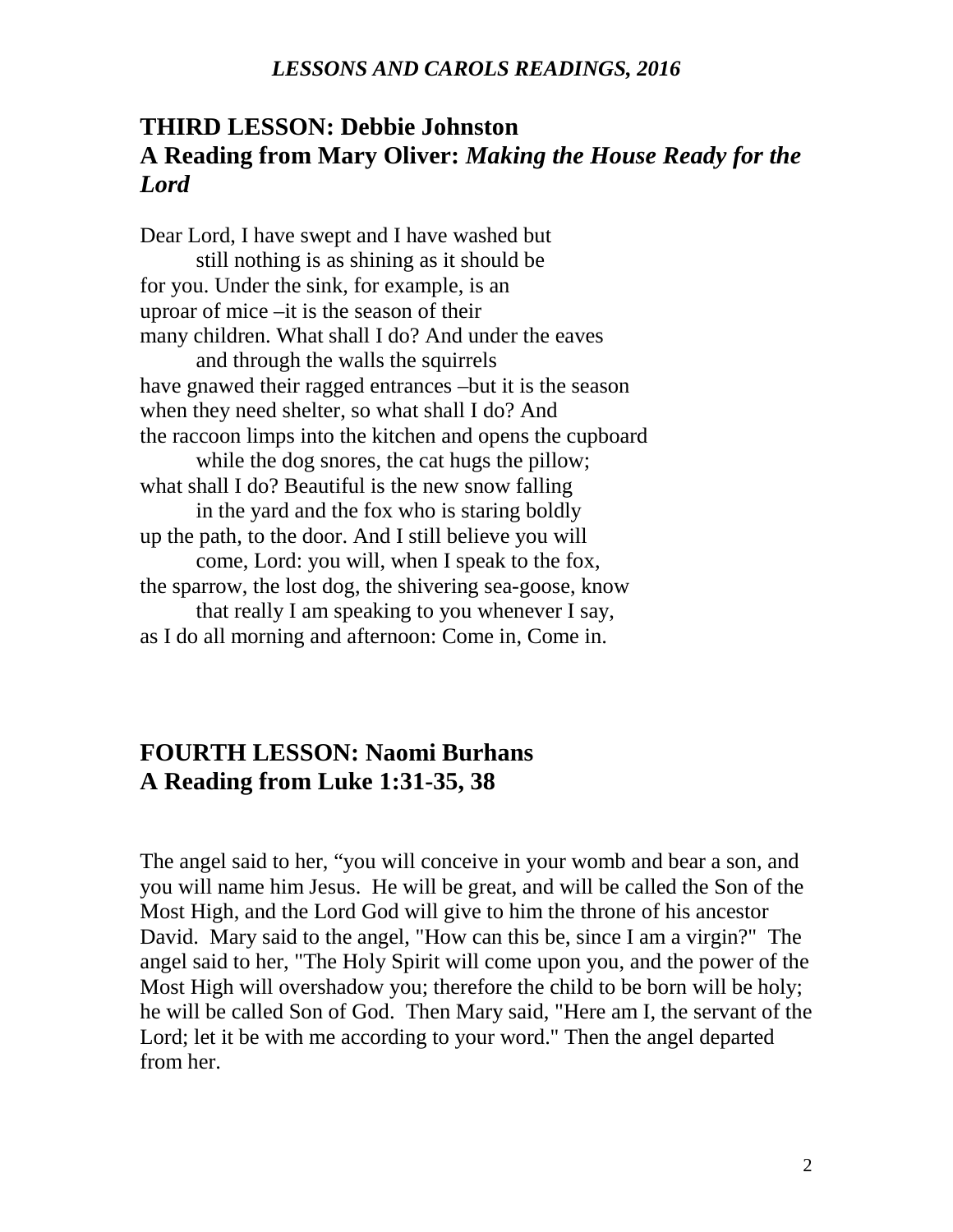## **THIRD LESSON: Debbie Johnston A Reading from Mary Oliver:** *Making the House Ready for the Lord*

Dear Lord, I have swept and I have washed but still nothing is as shining as it should be for you. Under the sink, for example, is an uproar of mice –it is the season of their many children. What shall I do? And under the eaves and through the walls the squirrels have gnawed their ragged entrances –but it is the season when they need shelter, so what shall I do? And the raccoon limps into the kitchen and opens the cupboard while the dog snores, the cat hugs the pillow; what shall I do? Beautiful is the new snow falling in the yard and the fox who is staring boldly up the path, to the door. And I still believe you will come, Lord: you will, when I speak to the fox, the sparrow, the lost dog, the shivering sea-goose, know that really I am speaking to you whenever I say, as I do all morning and afternoon: Come in, Come in.

### **FOURTH LESSON: Naomi Burhans A Reading from Luke 1:31-35, 38**

The angel said to her, "you will conceive in your womb and bear a son, and you will name him Jesus. He will be great, and will be called the Son of the Most High, and the Lord God will give to him the throne of his ancestor David. Mary said to the angel, "How can this be, since I am a virgin?" The angel said to her, "The Holy Spirit will come upon you, and the power of the Most High will overshadow you; therefore the child to be born will be holy; he will be called Son of God. Then Mary said, "Here am I, the servant of the Lord; let it be with me according to your word." Then the angel departed from her.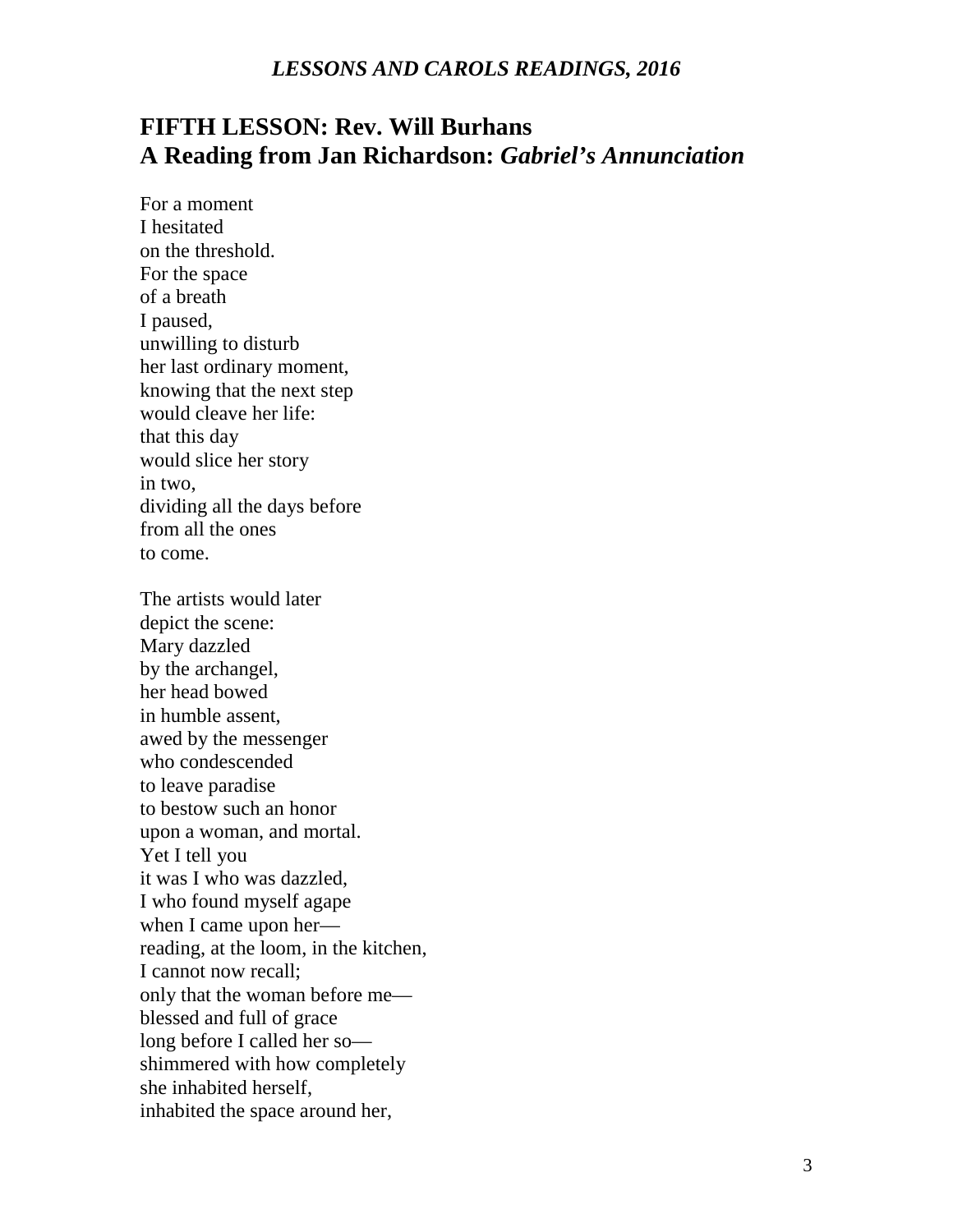# **FIFTH LESSON: Rev. Will Burhans A Reading from Jan Richardson:** *Gabriel's Annunciation*

For a moment I hesitated on the threshold. For the space of a breath I paused, unwilling to disturb her last ordinary moment, knowing that the next step would cleave her life: that this day would slice her story in two, dividing all the days before from all the ones to come.

The artists would later depict the scene: Mary dazzled by the archangel, her head bowed in humble assent, awed by the messenger who condescended to leave paradise to bestow such an honor upon a woman, and mortal. Yet I tell you it was I who was dazzled, I who found myself agape when I came upon her reading, at the loom, in the kitchen, I cannot now recall; only that the woman before me blessed and full of grace long before I called her so shimmered with how completely she inhabited herself, inhabited the space around her,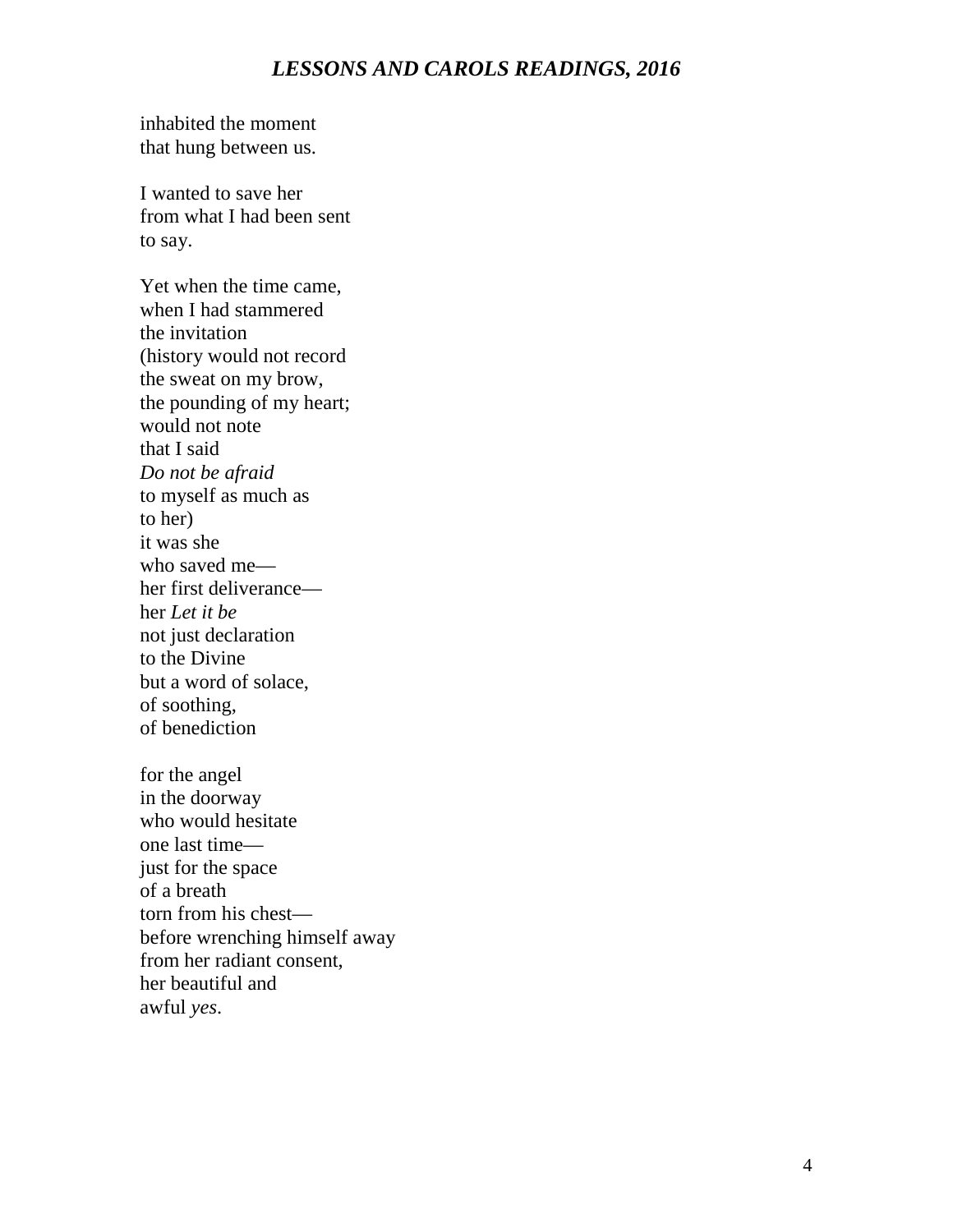inhabited the moment that hung between us.

I wanted to save her from what I had been sent to say.

Yet when the time came, when I had stammered the invitation (history would not record the sweat on my brow, the pounding of my heart; would not note that I said *Do not be afraid* to myself as much as to her) it was she who saved me her first deliverance her *Let it be* not just declaration to the Divine but a word of solace, of soothing, of benediction

for the angel in the doorway who would hesitate one last time just for the space of a breath torn from his chest before wrenching himself away from her radiant consent, her beautiful and awful *yes*.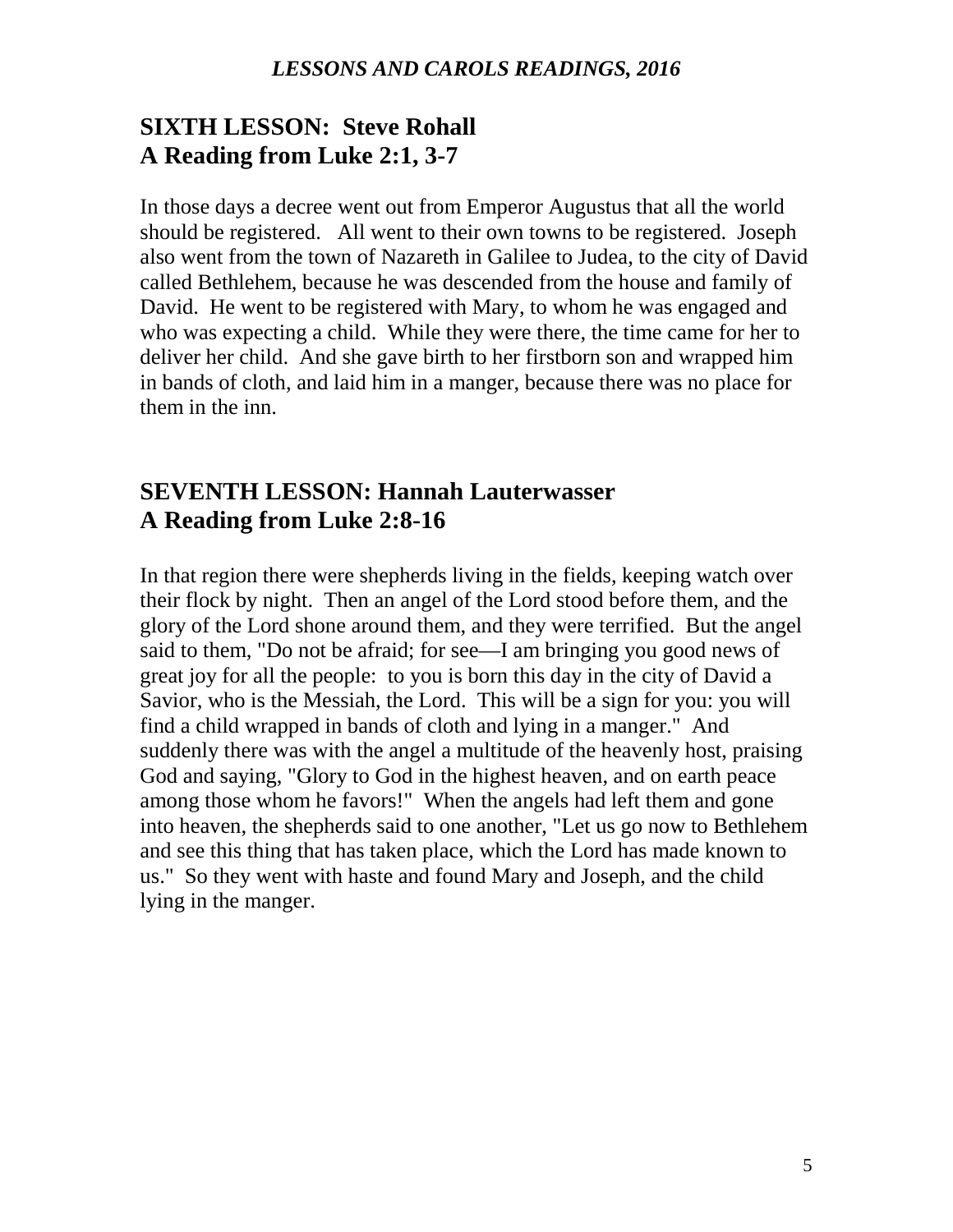## **SIXTH LESSON: Steve Rohall A Reading from Luke 2:1, 3-7**

In those days a decree went out from Emperor Augustus that all the world should be registered. All went to their own towns to be registered. Joseph also went from the town of Nazareth in Galilee to Judea, to the city of David called Bethlehem, because he was descended from the house and family of David. He went to be registered with Mary, to whom he was engaged and who was expecting a child. While they were there, the time came for her to deliver her child. And she gave birth to her firstborn son and wrapped him in bands of cloth, and laid him in a manger, because there was no place for them in the inn.

### **SEVENTH LESSON: Hannah Lauterwasser A Reading from Luke 2:8-16**

In that region there were shepherds living in the fields, keeping watch over their flock by night. Then an angel of the Lord stood before them, and the glory of the Lord shone around them, and they were terrified. But the angel said to them, "Do not be afraid; for see—I am bringing you good news of great joy for all the people: to you is born this day in the city of David a Savior, who is the Messiah, the Lord. This will be a sign for you: you will find a child wrapped in bands of cloth and lying in a manger." And suddenly there was with the angel a multitude of the heavenly host, praising God and saying, "Glory to God in the highest heaven, and on earth peace among those whom he favors!" When the angels had left them and gone into heaven, the shepherds said to one another, "Let us go now to Bethlehem and see this thing that has taken place, which the Lord has made known to us." So they went with haste and found Mary and Joseph, and the child lying in the manger.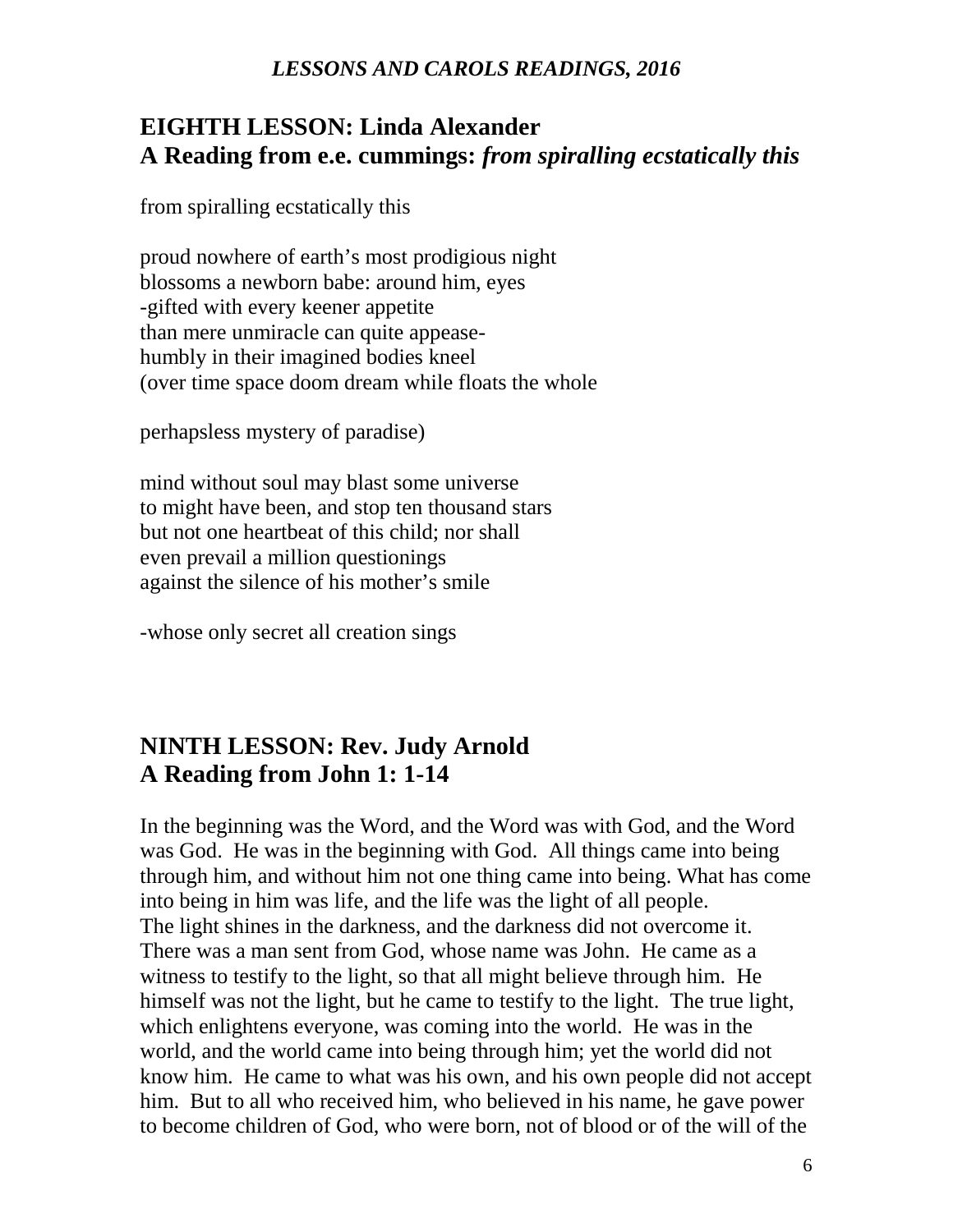## **EIGHTH LESSON: Linda Alexander A Reading from e.e. cummings:** *from spiralling ecstatically this*

from spiralling ecstatically this

proud nowhere of earth's most prodigious night blossoms a newborn babe: around him, eyes -gifted with every keener appetite than mere unmiracle can quite appeasehumbly in their imagined bodies kneel (over time space doom dream while floats the whole

perhapsless mystery of paradise)

mind without soul may blast some universe to might have been, and stop ten thousand stars but not one heartbeat of this child; nor shall even prevail a million questionings against the silence of his mother's smile

-whose only secret all creation sings

## **NINTH LESSON: Rev. Judy Arnold A Reading from John 1: 1-14**

In the beginning was the Word, and the Word was with God, and the Word was God. He was in the beginning with God. All things came into being through him, and without him not one thing came into being. What has come into being in him was life, and the life was the light of all people. The light shines in the darkness, and the darkness did not overcome it. There was a man sent from God, whose name was John. He came as a witness to testify to the light, so that all might believe through him. He himself was not the light, but he came to testify to the light. The true light, which enlightens everyone, was coming into the world. He was in the world, and the world came into being through him; yet the world did not know him. He came to what was his own, and his own people did not accept him. But to all who received him, who believed in his name, he gave power to become children of God, who were born, not of blood or of the will of the